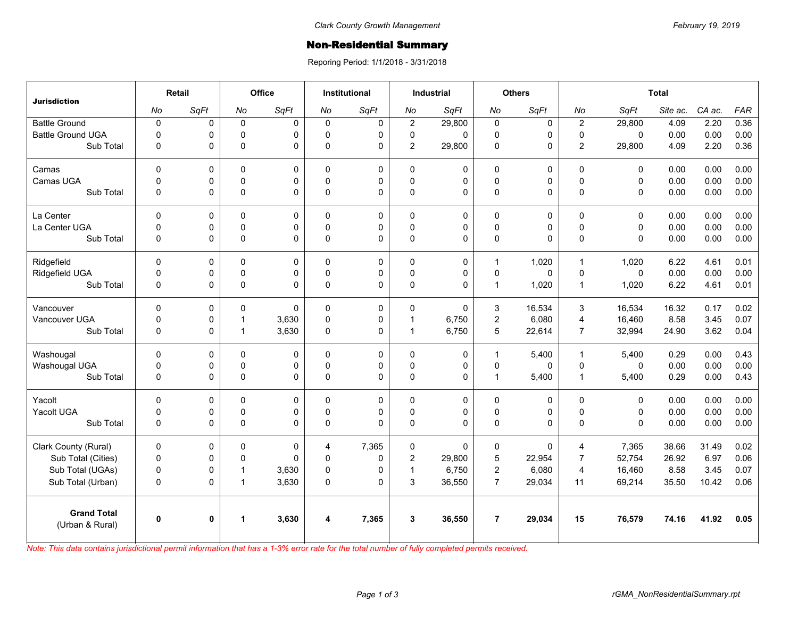## Non-Residential Summary

Reporing Period: 1/1/2018 - 3/31/2018

| <b>Jurisdiction</b>                   | Retail       |              | Office         |             | <b>Institutional</b> |             | <b>Industrial</b> |             | <b>Others</b>  |             | <b>Total</b>   |             |          |        |            |
|---------------------------------------|--------------|--------------|----------------|-------------|----------------------|-------------|-------------------|-------------|----------------|-------------|----------------|-------------|----------|--------|------------|
|                                       | No           | SqFt         | No             | SqFt        | No                   | SqFt        | No                | SqFt        | No             | SqFt        | No             | SqFt        | Site ac. | CA ac. | <b>FAR</b> |
| <b>Battle Ground</b>                  | $\pmb{0}$    | 0            | $\mathsf 0$    | $\mathbf 0$ | $\mathbf 0$          | 0           | $\overline{2}$    | 29,800      | $\mathsf 0$    | $\mathbf 0$ | $\overline{2}$ | 29,800      | 4.09     | 2.20   | 0.36       |
| <b>Battle Ground UGA</b>              | $\mathbf 0$  | 0            | $\mathbf 0$    | $\Omega$    | 0                    | 0           | 0                 | $\Omega$    | $\pmb{0}$      | 0           | $\mathbf{0}$   | $\Omega$    | 0.00     | 0.00   | 0.00       |
| Sub Total                             | $\mathbf 0$  | 0            | $\pmb{0}$      | $\Omega$    | 0                    | 0           | $\overline{2}$    | 29,800      | $\pmb{0}$      | 0           | $\overline{2}$ | 29,800      | 4.09     | 2.20   | 0.36       |
| Camas                                 | $\mathbf 0$  | 0            | 0              | 0           | 0                    | 0           | $\mathsf 0$       | 0           | 0              | 0           | $\mathsf 0$    | 0           | 0.00     | 0.00   | 0.00       |
| Camas UGA                             | $\mathbf 0$  | 0            | $\mathsf 0$    | $\mathbf 0$ | $\Omega$             | 0           | $\pmb{0}$         | 0           | $\mathbf 0$    | 0           | $\Omega$       | $\mathbf 0$ | 0.00     | 0.00   | 0.00       |
| Sub Total                             | $\mathbf 0$  | 0            | $\mathsf 0$    | $\Omega$    | 0                    | 0           | $\pmb{0}$         | 0           | $\pmb{0}$      | 0           | $\mathbf 0$    | $\mathbf 0$ | 0.00     | 0.00   | 0.00       |
| La Center                             | $\mathbf 0$  | $\mathbf 0$  | $\mathbf 0$    | 0           | 0                    | $\mathbf 0$ | $\mathbf 0$       | $\mathbf 0$ | 0              | 0           | $\mathbf 0$    | $\mathbf 0$ | 0.00     | 0.00   | 0.00       |
| La Center UGA                         | $\mathbf 0$  | 0            | 0              | 0           | $\mathbf 0$          | 0           | 0                 | $\mathsf 0$ | $\pmb{0}$      | 0           | $\mathsf 0$    | $\pmb{0}$   | 0.00     | 0.00   | 0.00       |
| Sub Total                             | $\Omega$     | 0            | $\mathsf 0$    | $\Omega$    | $\Omega$             | $\Omega$    | $\Omega$          | $\Omega$    | $\mathbf 0$    | 0           | $\Omega$       | $\Omega$    | 0.00     | 0.00   | 0.00       |
| Ridgefield                            | $\Omega$     | 0            | $\mathbf 0$    | 0           | 0                    | 0           | $\mathbf 0$       | 0           | 1              | 1,020       | $\overline{1}$ | 1,020       | 6.22     | 4.61   | 0.01       |
| Ridgefield UGA                        | $\pmb{0}$    | 0            | $\pmb{0}$      | 0           | $\mathbf 0$          | 0           | $\mathsf 0$       | 0           | $\pmb{0}$      | $\mathsf 0$ | $\pmb{0}$      | $\mathbf 0$ | 0.00     | 0.00   | 0.00       |
| Sub Total                             | $\Omega$     | 0            | $\mathsf 0$    | $\Omega$    | 0                    | $\Omega$    | $\Omega$          | $\Omega$    | $\mathbf{1}$   | 1,020       | $\overline{1}$ | 1,020       | 6.22     | 4.61   | 0.01       |
| Vancouver                             | $\Omega$     | 0            | $\Omega$       | $\Omega$    | 0                    | 0           | $\mathbf 0$       | $\Omega$    | 3              | 16,534      | 3              | 16,534      | 16.32    | 0.17   | 0.02       |
| Vancouver UGA                         | $\mathbf 0$  | 0            | $\overline{1}$ | 3,630       | 0                    | 0           | $\mathbf{1}$      | 6,750       | $\overline{c}$ | 6,080       | $\overline{4}$ | 16,460      | 8.58     | 3.45   | 0.07       |
| Sub Total                             | $\mathbf 0$  | 0            | $\mathbf{1}$   | 3,630       | $\mathbf 0$          | 0           | $\mathbf{1}$      | 6,750       | 5              | 22,614      | $\overline{7}$ | 32,994      | 24.90    | 3.62   | 0.04       |
| Washougal                             | $\mathbf 0$  | 0            | $\mathbf 0$    | 0           | 0                    | 0           | $\mathbf 0$       | 0           | $\mathbf{1}$   | 5,400       | $\overline{1}$ | 5,400       | 0.29     | 0.00   | 0.43       |
| Washougal UGA                         | $\mathbf 0$  | 0            | $\mathsf 0$    | 0           | $\Omega$             | 0           | $\mathbf 0$       | 0           | $\pmb{0}$      | 0           | $\mathbf 0$    | 0           | 0.00     | 0.00   | 0.00       |
| Sub Total                             | $\pmb{0}$    | 0            | $\pmb{0}$      | $\Omega$    | 0                    | 0           | $\mathbf 0$       | 0           | $\mathbf{1}$   | 5,400       | $\overline{1}$ | 5,400       | 0.29     | 0.00   | 0.43       |
| Yacolt                                | $\mathbf 0$  | 0            | $\mathbf 0$    | 0           | 0                    | 0           | 0                 | 0           | $\mathbf 0$    | 0           | $\mathbf 0$    | $\mathbf 0$ | 0.00     | 0.00   | 0.00       |
| Yacolt UGA                            | $\mathbf 0$  | 0            | $\mathbf 0$    | 0           | $\Omega$             | 0           | 0                 | 0           | $\pmb{0}$      | 0           | $\mathbf 0$    | $\mathbf 0$ | 0.00     | 0.00   | 0.00       |
| Sub Total                             | $\mathbf 0$  | 0            | $\mathsf 0$    | $\Omega$    | 0                    | $\Omega$    | $\Omega$          | $\Omega$    | $\mathsf 0$    | 0           | $\Omega$       | $\Omega$    | 0.00     | 0.00   | 0.00       |
| Clark County (Rural)                  | $\mathbf 0$  | 0            | $\mathbf 0$    | 0           | 4                    | 7,365       | 0                 | $\Omega$    | 0              | 0           | $\overline{4}$ | 7,365       | 38.66    | 31.49  | 0.02       |
| Sub Total (Cities)                    | $\pmb{0}$    | 0            | 0              | $\Omega$    | $\mathbf 0$          | $\pmb{0}$   | $\overline{c}$    | 29,800      | 5              | 22,954      | $\overline{7}$ | 52,754      | 26.92    | 6.97   | 0.06       |
| Sub Total (UGAs)                      | $\mathbf 0$  | 0            | $\overline{1}$ | 3,630       | 0                    | 0           | $\mathbf{1}$      | 6,750       | $\overline{c}$ | 6,080       | $\overline{4}$ | 16,460      | 8.58     | 3.45   | 0.07       |
| Sub Total (Urban)                     | $\mathbf 0$  | 0            | $\mathbf{1}$   | 3,630       | 0                    | $\Omega$    | 3                 | 36,550      | $\overline{7}$ | 29,034      | 11             | 69,214      | 35.50    | 10.42  | 0.06       |
| <b>Grand Total</b><br>(Urban & Rural) | $\mathbf{0}$ | $\mathbf{0}$ | $\mathbf{1}$   | 3,630       | 4                    | 7,365       | $\mathbf{3}$      | 36,550      | $\overline{7}$ | 29,034      | 15             | 76,579      | 74.16    | 41.92  | 0.05       |

*Note: This data contains jurisdictional permit information that has a 1-3% error rate for the total number of fully completed permits received.*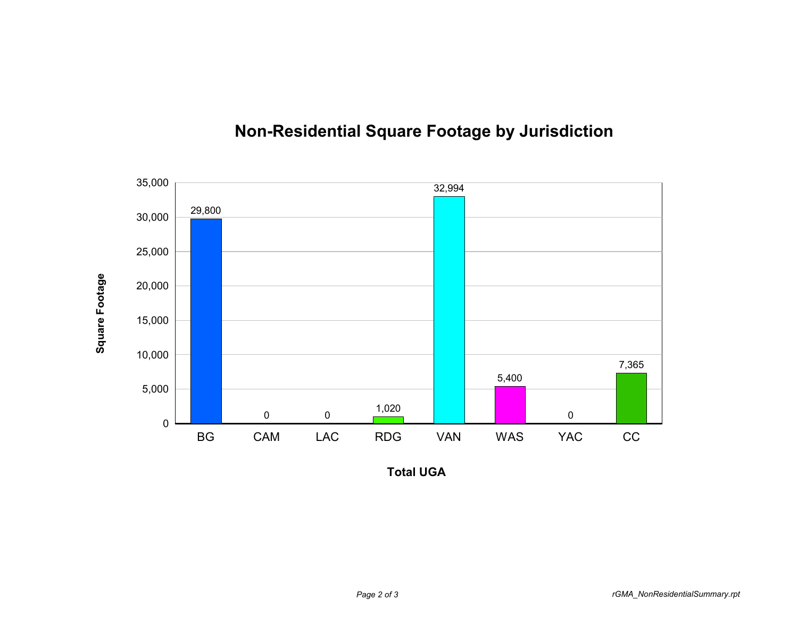

## **Non-Residential Square Footage by Jurisdiction**

**Total UGA**